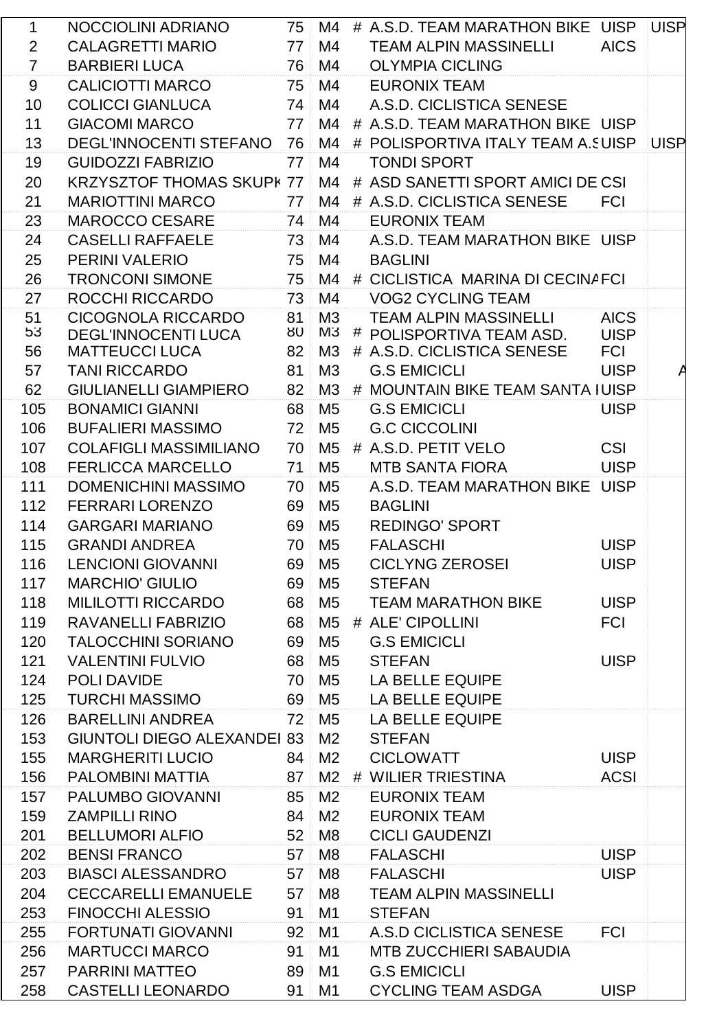| 1              | NOCCIOLINI ADRIANO                 | 75 <sup>1</sup> | M4             | # A.S.D. TEAM MARATHON BIKE UISP UISP  |             |  |
|----------------|------------------------------------|-----------------|----------------|----------------------------------------|-------------|--|
| $\overline{2}$ | <b>CALAGRETTI MARIO</b>            | 77              | M4             | <b>TEAM ALPIN MASSINELLI</b>           | <b>AICS</b> |  |
| $\overline{7}$ | <b>BARBIERI LUCA</b>               | 76              | M4             | <b>OLYMPIA CICLING</b>                 |             |  |
| 9              | <b>CALICIOTTI MARCO</b>            | 75              | M4             | <b>EURONIX TEAM</b>                    |             |  |
| 10             | <b>COLICCI GIANLUCA</b>            | $74^{\circ}$    | M4             | A.S.D. CICLISTICA SENESE               |             |  |
| 11             | <b>GIACOMI MARCO</b>               | 77              | M4             | # A.S.D. TEAM MARATHON BIKE UISP       |             |  |
| 13             | <b>DEGL'INNOCENTI STEFANO</b>      | 76              | M4             | # POLISPORTIVA ITALY TEAM A.SUISP UISP |             |  |
| 19             | <b>GUIDOZZI FABRIZIO</b>           | 77              | M4             | <b>TONDI SPORT</b>                     |             |  |
| 20             | <b>KRZYSZTOF THOMAS SKUPI</b>      | 77              | M4             | # ASD SANETTI SPORT AMICI DE CSI       |             |  |
| 21             | <b>MARIOTTINI MARCO</b>            | 77 <sup>1</sup> | M4             | # A.S.D. CICLISTICA SENESE             | <b>FCI</b>  |  |
| 23             | <b>MAROCCO CESARE</b>              | 74              | M4             | <b>EURONIX TEAM</b>                    |             |  |
| 24             | <b>CASELLI RAFFAELE</b>            | 73              | M4             | A.S.D. TEAM MARATHON BIKE UISP         |             |  |
| 25             | PERINI VALERIO                     | 75              | M4             | <b>BAGLINI</b>                         |             |  |
| 26             | <b>TRONCONI SIMONE</b>             | 75 <sup>1</sup> | M4             | # CICLISTICA MARINA DI CECINAFCI       |             |  |
| 27             | ROCCHI RICCARDO                    | 73              | M4             | <b>VOG2 CYCLING TEAM</b>               |             |  |
| 51             | <b>CICOGNOLA RICCARDO</b>          | 81              | M3             | <b>TEAM ALPIN MASSINELLI</b>           | <b>AICS</b> |  |
| 53             | <b>DEGL'INNOCENTI LUCA</b>         |                 |                | 80 M3 # POLISPORTIVA TEAM ASD.         | <b>UISP</b> |  |
| 56             | <b>MATTEUCCI LUCA</b>              | 82              | M3             | # A.S.D. CICLISTICA SENESE             | <b>FCI</b>  |  |
| 57             | <b>TANI RICCARDO</b>               | 81              | M <sub>3</sub> | <b>G.S EMICICLI</b>                    | <b>UISP</b> |  |
| 62             | <b>GIULIANELLI GIAMPIERO</b>       | 82 <sup>1</sup> | M3             | # MOUNTAIN BIKE TEAM SANTA IUISP       |             |  |
| 105            | <b>BONAMICI GIANNI</b>             | 68              | M <sub>5</sub> | <b>G.S EMICICLI</b>                    | <b>UISP</b> |  |
| 106            | <b>BUFALIERI MASSIMO</b>           | 72              | M <sub>5</sub> | <b>G.C CICCOLINI</b>                   |             |  |
| 107            | <b>COLAFIGLI MASSIMILIANO</b>      | 70              | M5             | # A.S.D. PETIT VELO                    | <b>CSI</b>  |  |
| 108            | <b>FERLICCA MARCELLO</b>           | 71              | M <sub>5</sub> | <b>MTB SANTA FIORA</b>                 | <b>UISP</b> |  |
| 111            | <b>DOMENICHINI MASSIMO</b>         | 70              | M <sub>5</sub> | A.S.D. TEAM MARATHON BIKE              | <b>UISP</b> |  |
| 112            | <b>FERRARI LORENZO</b>             | 69              | M <sub>5</sub> | <b>BAGLINI</b>                         |             |  |
| 114            | <b>GARGARI MARIANO</b>             | 69              | M <sub>5</sub> | <b>REDINGO' SPORT</b>                  |             |  |
| 115            | <b>GRANDI ANDREA</b>               | 70              | M <sub>5</sub> | <b>FALASCHI</b>                        | <b>UISP</b> |  |
| 116            | LENCIONI GIOVANNI                  |                 | 69 M5          | <b>CICLYNG ZEROSEI</b>                 | <b>UISP</b> |  |
| 117            | <b>MARCHIO' GIULIO</b>             | 69              | M <sub>5</sub> | <b>STEFAN</b>                          |             |  |
| 118            | <b>MILILOTTI RICCARDO</b>          | 68              | M <sub>5</sub> | <b>TEAM MARATHON BIKE</b>              | <b>UISP</b> |  |
| 119            | RAVANELLI FABRIZIO                 |                 | 68 M5          | # ALE' CIPOLLINI                       | <b>FCI</b>  |  |
| 120            | <b>TALOCCHINI SORIANO</b>          | 69              | M <sub>5</sub> | <b>G.S EMICICLI</b>                    |             |  |
| 121            | <b>VALENTINI FULVIO</b>            | 68              | M <sub>5</sub> | <b>STEFAN</b>                          | <b>UISP</b> |  |
| 124            | POLI DAVIDE                        | 70              | M <sub>5</sub> | LA BELLE EQUIPE                        |             |  |
| 125            | <b>TURCHI MASSIMO</b>              | 69              | M <sub>5</sub> | <b>LA BELLE EQUIPE</b>                 |             |  |
| 126            | <b>BARELLINI ANDREA</b>            | 72              | M <sub>5</sub> | LA BELLE EQUIPE                        |             |  |
| 153            | <b>GIUNTOLI DIEGO ALEXANDEI 83</b> |                 | M <sub>2</sub> | <b>STEFAN</b>                          |             |  |
| 155            | <b>MARGHERITI LUCIO</b>            | 84              | M <sub>2</sub> | <b>CICLOWATT</b>                       | <b>UISP</b> |  |
| 156            | PALOMBINI MATTIA                   | 87              | M <sub>2</sub> | # WILIER TRIESTINA                     | <b>ACSI</b> |  |
| 157            | PALUMBO GIOVANNI                   | 85              | M <sub>2</sub> | <b>EURONIX TEAM</b>                    |             |  |
| 159            | <b>ZAMPILLI RINO</b>               | 84              | M <sub>2</sub> | <b>EURONIX TEAM</b>                    |             |  |
| 201            | <b>BELLUMORI ALFIO</b>             | 52              | M <sub>8</sub> | <b>CICLI GAUDENZI</b>                  |             |  |
| 202            | <b>BENSI FRANCO</b>                | 57              | M <sub>8</sub> | <b>FALASCHI</b>                        | <b>UISP</b> |  |
| 203            | <b>BIASCI ALESSANDRO</b>           | 57              | M <sub>8</sub> | <b>FALASCHI</b>                        | <b>UISP</b> |  |
| 204            | <b>CECCARELLI EMANUELE</b>         | 57              | M <sub>8</sub> | <b>TEAM ALPIN MASSINELLI</b>           |             |  |
| 253            | <b>FINOCCHI ALESSIO</b>            | 91              | M1             | <b>STEFAN</b>                          |             |  |
| 255            | <b>FORTUNATI GIOVANNI</b>          | 92              | M <sub>1</sub> | A.S.D CICLISTICA SENESE                | <b>FCI</b>  |  |
| 256            | <b>MARTUCCI MARCO</b>              | 91              | M1             | <b>MTB ZUCCHIERI SABAUDIA</b>          |             |  |
| 257            | <b>PARRINI MATTEO</b>              | 89              | M1             | <b>G.S EMICICLI</b>                    |             |  |
| 258            | <b>CASTELLI LEONARDO</b>           | 91              | M1             | <b>CYCLING TEAM ASDGA</b>              | <b>UISP</b> |  |
|                |                                    |                 |                |                                        |             |  |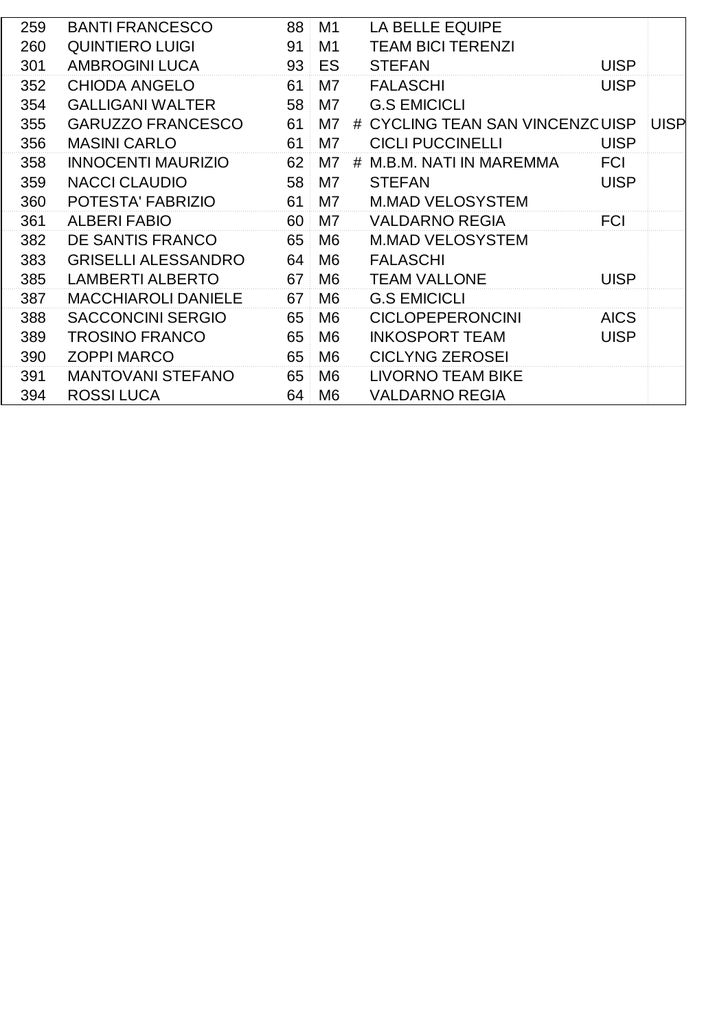| 259 | <b>BANTI FRANCESCO</b>     | 88 | M <sub>1</sub> | <b>LA BELLE EQUIPE</b>          |             |             |
|-----|----------------------------|----|----------------|---------------------------------|-------------|-------------|
| 260 | <b>QUINTIERO LUIGI</b>     | 91 | M1             | <b>TEAM BICI TERENZI</b>        |             |             |
| 301 | <b>AMBROGINI LUCA</b>      | 93 | ES             | <b>STEFAN</b>                   | <b>UISP</b> |             |
| 352 | <b>CHIODA ANGELO</b>       | 61 | M7             | <b>FALASCHI</b>                 | <b>UISP</b> |             |
| 354 | <b>GALLIGANI WALTER</b>    | 58 | M7             | <b>G.S EMICICLI</b>             |             |             |
| 355 | <b>GARUZZO FRANCESCO</b>   | 61 | M7             | # CYCLING TEAN SAN VINCENZCUISP |             | <b>UISP</b> |
| 356 | <b>MASINI CARLO</b>        | 61 | M7             | <b>CICLI PUCCINELLI</b>         | <b>UISP</b> |             |
| 358 | <b>INNOCENTI MAURIZIO</b>  | 62 | M7             | M.B.M. NATI IN MAREMMA<br>#     | <b>FCI</b>  |             |
| 359 | <b>NACCI CLAUDIO</b>       | 58 | M <sub>7</sub> | <b>STEFAN</b>                   | <b>UISP</b> |             |
| 360 | POTESTA' FABRIZIO          | 61 | M7             | <b>M.MAD VELOSYSTEM</b>         |             |             |
| 361 | <b>ALBERI FABIO</b>        | 60 | M7             | <b>VALDARNO REGIA</b>           | <b>FCI</b>  |             |
| 382 | DE SANTIS FRANCO           | 65 | M <sub>6</sub> | <b>M.MAD VELOSYSTEM</b>         |             |             |
| 383 | <b>GRISELLI ALESSANDRO</b> | 64 | M <sub>6</sub> | <b>FALASCHI</b>                 |             |             |
| 385 | <b>LAMBERTI ALBERTO</b>    | 67 | M6             | <b>TEAM VALLONE</b>             | <b>UISP</b> |             |
| 387 | <b>MACCHIAROLI DANIELE</b> | 67 | M <sub>6</sub> | <b>G.S EMICICLI</b>             |             |             |
| 388 | <b>SACCONCINI SERGIO</b>   | 65 | M <sub>6</sub> | <b>CICLOPEPERONCINI</b>         | <b>AICS</b> |             |
| 389 | <b>TROSINO FRANCO</b>      | 65 | M <sub>6</sub> | <b>INKOSPORT TEAM</b>           | <b>UISP</b> |             |
| 390 | <b>ZOPPI MARCO</b>         | 65 | M <sub>6</sub> | <b>CICLYNG ZEROSEI</b>          |             |             |
| 391 | <b>MANTOVANI STEFANO</b>   | 65 | M <sub>6</sub> | <b>LIVORNO TEAM BIKE</b>        |             |             |
| 394 | <b>ROSSILUCA</b>           | 64 | M <sub>6</sub> | <b>VALDARNO REGIA</b>           |             |             |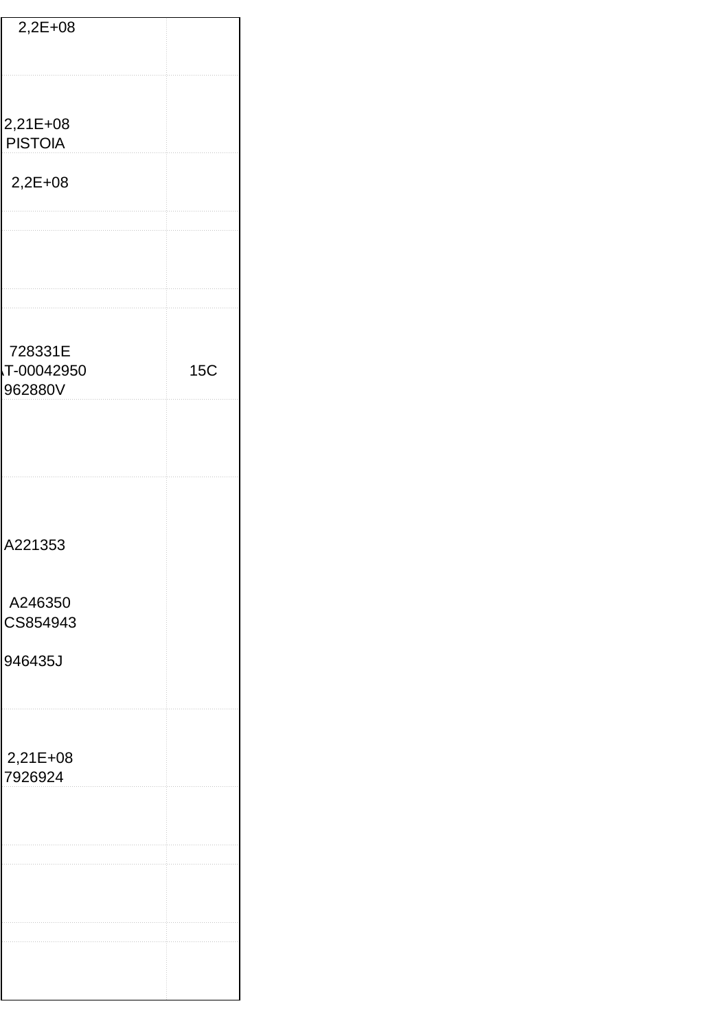| $2,2E+08$                        |  |     |
|----------------------------------|--|-----|
|                                  |  |     |
| 2,21E+08<br><b>PISTOIA</b>       |  |     |
| $2,2E+08$                        |  |     |
|                                  |  |     |
|                                  |  |     |
|                                  |  |     |
| 728331E<br>T-00042950<br>962880V |  | 15C |
|                                  |  |     |
|                                  |  |     |
|                                  |  |     |
| A221353                          |  |     |
|                                  |  |     |
| A246350<br>CS854943              |  |     |
| 946435J                          |  |     |
|                                  |  |     |
|                                  |  |     |
| 2,21E+08<br>7926924              |  |     |
|                                  |  |     |
|                                  |  |     |
|                                  |  |     |
|                                  |  |     |
|                                  |  |     |
|                                  |  |     |
|                                  |  |     |